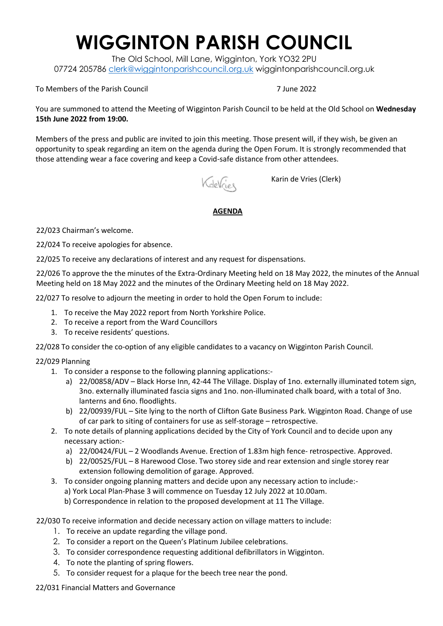## **WIGGINTON PARISH COUNCIL**

The Old School, Mill Lane, Wigginton, York YO32 2PU 07724 205786 [clerk@wiggintonparishcouncil.org.uk](mailto:clerk@wiggintonparishcouncil.org.uk) wiggintonparishcouncil.org.uk

## To Members of the Parish Council 7 June 2022

You are summoned to attend the Meeting of Wigginton Parish Council to be held at the Old School on **Wednesday 15th June 2022 from 19:00.** 

Members of the press and public are invited to join this meeting. Those present will, if they wish, be given an opportunity to speak regarding an item on the agenda during the Open Forum. It is strongly recommended that those attending wear a face covering and keep a Covid-safe distance from other attendees.

KdeVries

Karin de Vries (Clerk)

**AGENDA**

22/023 Chairman's welcome.

22/024 To receive apologies for absence.

22/025 To receive any declarations of interest and any request for dispensations.

22/026 To approve the the minutes of the Extra-Ordinary Meeting held on 18 May 2022, the minutes of the Annual Meeting held on 18 May 2022 and the minutes of the Ordinary Meeting held on 18 May 2022.

22/027 To resolve to adjourn the meeting in order to hold the Open Forum to include:

- 1. To receive the May 2022 report from North Yorkshire Police.
- 2. To receive a report from the Ward Councillors
- 3. To receive residents' questions.

22/028 To consider the co-option of any eligible candidates to a vacancy on Wigginton Parish Council.

## 22/029 Planning

- 1. To consider a response to the following planning applications:
	- a) 22/00858/ADV Black Horse Inn, 42-44 The Village. Display of 1no. externally illuminated totem sign, 3no. externally illuminated fascia signs and 1no. non-illuminated chalk board, with a total of 3no. lanterns and 6no. floodlights.
	- b) 22/00939/FUL Site lying to the north of Clifton Gate Business Park. Wigginton Road. Change of use of car park to siting of containers for use as self-storage – retrospective.
- 2. To note details of planning applications decided by the City of York Council and to decide upon any necessary action:
	- a) 22/00424/FUL 2 Woodlands Avenue. Erection of 1.83m high fence- retrospective. Approved.
	- b) 22/00525/FUL 8 Harewood Close. Two storey side and rear extension and single storey rear extension following demolition of garage. Approved.
- 3. To consider ongoing planning matters and decide upon any necessary action to include:
	- a) York Local Plan-Phase 3 will commence on Tuesday 12 July 2022 at 10.00am.
	- b) Correspondence in relation to the proposed development at 11 The Village.
- 22/030 To receive information and decide necessary action on village matters to include:
	- 1. To receive an update regarding the village pond.
	- 2. To consider a report on the Queen's Platinum Jubilee celebrations.
	- 3. To consider correspondence requesting additional defibrillators in Wigginton.
	- 4. To note the planting of spring flowers.
	- 5. To consider request for a plaque for the beech tree near the pond.

22/031 Financial Matters and Governance